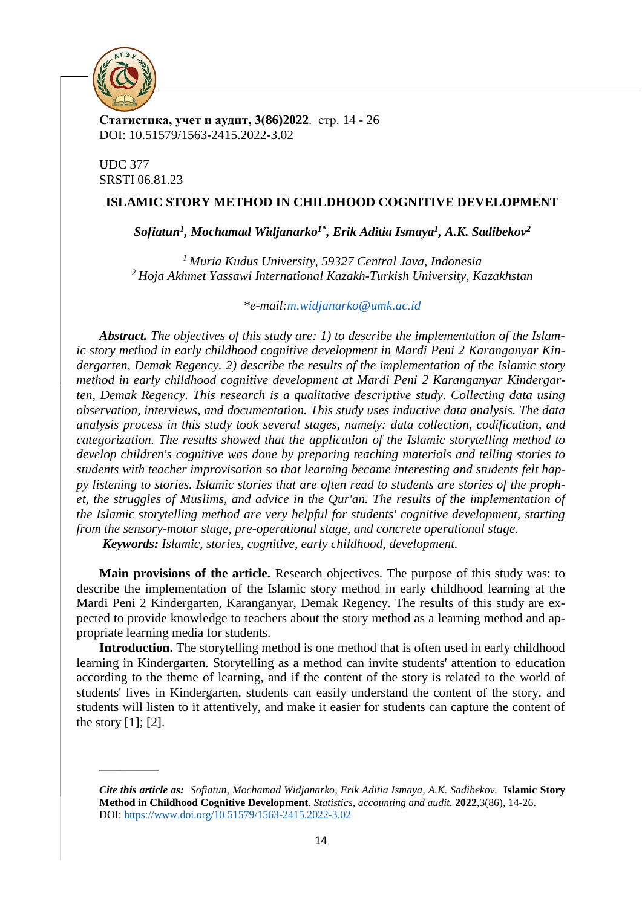

**Статистика, учет и аудит, 3(86)2022**. стр. 14 - 26 DOI: 10.51579/1563-2415.2022-3.02

UDC 377 SRSTI 06.81.23

**\_\_\_\_\_\_\_\_\_\_\_**

## **ISLAMIC STORY METHOD IN CHILDHOOD COGNITIVE DEVELOPMENT**

*Sofiatun<sup>1</sup> , Mochamad Widjanarko1\*, Erik Aditia Ismaya<sup>1</sup> , A.K. Sadibekov<sup>2</sup>*

*<sup>1</sup> Muria Kudus University, 59327 Central Java, Indonesia <sup>2</sup>Hoja Akhmet Yassawi International Kazakh-Turkish University, Kazakhstan*

*\*e-mail[:m.widjanarko@umk.ac.id](mailto:m.widjanarko@umk.ac.id)*

*Abstract. The objectives of this study are: 1) to describe the implementation of the Islamic story method in early childhood cognitive development in Mardi Peni 2 Karanganyar Kindergarten, Demak Regency. 2) describe the results of the implementation of the Islamic story method in early childhood cognitive development at Mardi Peni 2 Karanganyar Kindergarten, Demak Regency. This research is a qualitative descriptive study. Collecting data using observation, interviews, and documentation. This study uses inductive data analysis. The data analysis process in this study took several stages, namely: data collection, codification, and categorization. The results showed that the application of the Islamic storytelling method to develop children's cognitive was done by preparing teaching materials and telling stories to students with teacher improvisation so that learning became interesting and students felt happy listening to stories. Islamic stories that are often read to students are stories of the prophet, the struggles of Muslims, and advice in the Qur'an. The results of the implementation of the Islamic storytelling method are very helpful for students' cognitive development, starting from the sensory-motor stage, pre-operational stage, and concrete operational stage.*

*Keywords: Islamic, stories, cognitive, early childhood, development.* 

**Main provisions of the article.** Research objectives. The purpose of this study was: to describe the implementation of the Islamic story method in early childhood learning at the Mardi Peni 2 Kindergarten, Karanganyar, Demak Regency. The results of this study are expected to provide knowledge to teachers about the story method as a learning method and appropriate learning media for students.

**Introduction.** The storytelling method is one method that is often used in early childhood learning in Kindergarten. Storytelling as a method can invite students' attention to education according to the theme of learning, and if the content of the story is related to the world of students' lives in Kindergarten, students can easily understand the content of the story, and students will listen to it attentively, and make it easier for students can capture the content of the story  $[1]$ ;  $[2]$ .

*Cite this article as:**Sofiatun, Mochamad Widjanarko, Erik Aditia Ismaya, A.K. Sadibekov.* **Islamic Story Method in Childhood Cognitive Development**. *Statistics, accounting and audit.* **2022**,3(86), 14-26. DOI:<https://www.doi.org/10.51579/1563-2415.2022-3.02>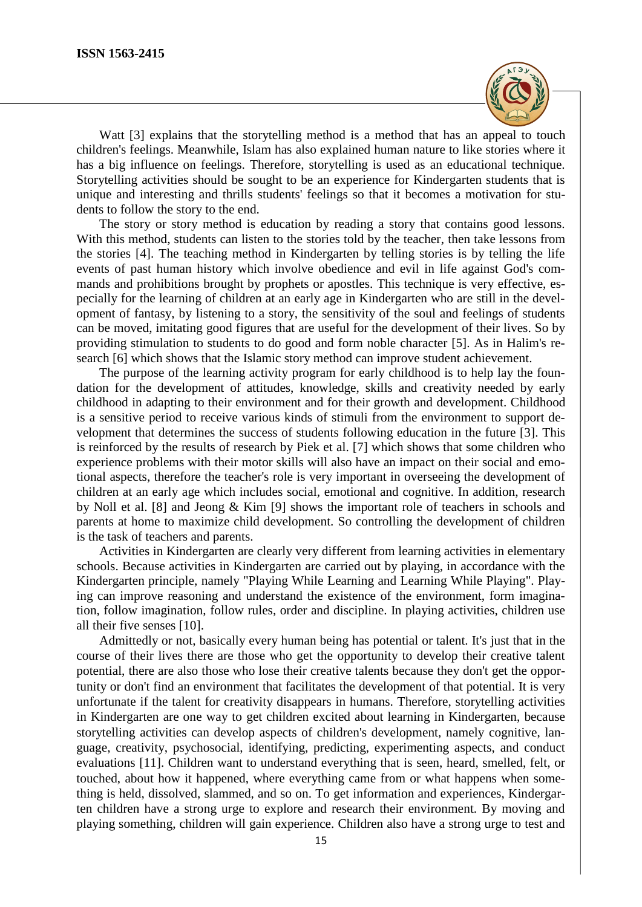

Watt [3] explains that the storytelling method is a method that has an appeal to touch children's feelings. Meanwhile, Islam has also explained human nature to like stories where it has a big influence on feelings. Therefore, storytelling is used as an educational technique. Storytelling activities should be sought to be an experience for Kindergarten students that is unique and interesting and thrills students' feelings so that it becomes a motivation for students to follow the story to the end.

The story or story method is education by reading a story that contains good lessons. With this method, students can listen to the stories told by the teacher, then take lessons from the stories [4]. The teaching method in Kindergarten by telling stories is by telling the life events of past human history which involve obedience and evil in life against God's commands and prohibitions brought by prophets or apostles. This technique is very effective, especially for the learning of children at an early age in Kindergarten who are still in the development of fantasy, by listening to a story, the sensitivity of the soul and feelings of students can be moved, imitating good figures that are useful for the development of their lives. So by providing stimulation to students to do good and form noble character [5]. As in Halim's research [6] which shows that the Islamic story method can improve student achievement.

The purpose of the learning activity program for early childhood is to help lay the foundation for the development of attitudes, knowledge, skills and creativity needed by early childhood in adapting to their environment and for their growth and development. Childhood is a sensitive period to receive various kinds of stimuli from the environment to support development that determines the success of students following education in the future [3]. This is reinforced by the results of research by Piek et al. [7] which shows that some children who experience problems with their motor skills will also have an impact on their social and emotional aspects, therefore the teacher's role is very important in overseeing the development of children at an early age which includes social, emotional and cognitive. In addition, research by Noll et al. [8] and Jeong & Kim [9] shows the important role of teachers in schools and parents at home to maximize child development. So controlling the development of children is the task of teachers and parents.

Activities in Kindergarten are clearly very different from learning activities in elementary schools. Because activities in Kindergarten are carried out by playing, in accordance with the Kindergarten principle, namely "Playing While Learning and Learning While Playing". Playing can improve reasoning and understand the existence of the environment, form imagination, follow imagination, follow rules, order and discipline. In playing activities, children use all their five senses [10].

Admittedly or not, basically every human being has potential or talent. It's just that in the course of their lives there are those who get the opportunity to develop their creative talent potential, there are also those who lose their creative talents because they don't get the opportunity or don't find an environment that facilitates the development of that potential. It is very unfortunate if the talent for creativity disappears in humans. Therefore, storytelling activities in Kindergarten are one way to get children excited about learning in Kindergarten, because storytelling activities can develop aspects of children's development, namely cognitive, language, creativity, psychosocial, identifying, predicting, experimenting aspects, and conduct evaluations [11]. Children want to understand everything that is seen, heard, smelled, felt, or touched, about how it happened, where everything came from or what happens when something is held, dissolved, slammed, and so on. To get information and experiences, Kindergarten children have a strong urge to explore and research their environment. By moving and playing something, children will gain experience. Children also have a strong urge to test and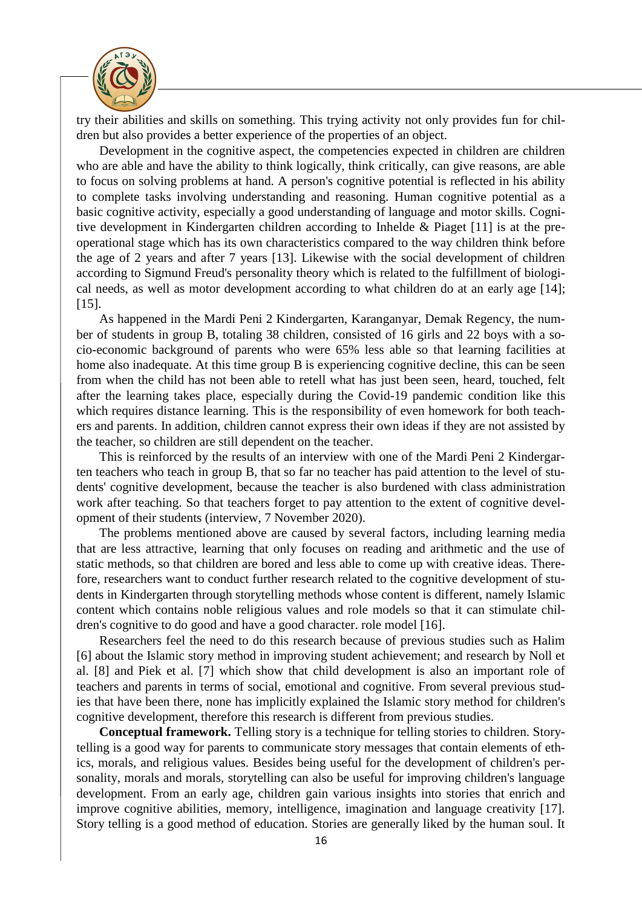

try their abilities and skills on something. This trying activity not only provides fun for children but also provides a better experience of the properties of an object.

Development in the cognitive aspect, the competencies expected in children are children who are able and have the ability to think logically, think critically, can give reasons, are able to focus on solving problems at hand. A person's cognitive potential is reflected in his ability to complete tasks involving understanding and reasoning. Human cognitive potential as a basic cognitive activity, especially a good understanding of language and motor skills. Cognitive development in Kindergarten children according to Inhelde & Piaget [11] is at the preoperational stage which has its own characteristics compared to the way children think before the age of 2 years and after 7 years [13]. Likewise with the social development of children according to Sigmund Freud's personality theory which is related to the fulfillment of biological needs, as well as motor development according to what children do at an early age [14]; [15].

As happened in the Mardi Peni 2 Kindergarten, Karanganyar, Demak Regency, the number of students in group B, totaling 38 children, consisted of 16 girls and 22 boys with a socio-economic background of parents who were 65% less able so that learning facilities at home also inadequate. At this time group B is experiencing cognitive decline, this can be seen from when the child has not been able to retell what has just been seen, heard, touched, felt after the learning takes place, especially during the Covid-19 pandemic condition like this which requires distance learning. This is the responsibility of even homework for both teachers and parents. In addition, children cannot express their own ideas if they are not assisted by the teacher, so children are still dependent on the teacher.

This is reinforced by the results of an interview with one of the Mardi Peni 2 Kindergarten teachers who teach in group B, that so far no teacher has paid attention to the level of students' cognitive development, because the teacher is also burdened with class administration work after teaching. So that teachers forget to pay attention to the extent of cognitive development of their students (interview, 7 November 2020).

The problems mentioned above are caused by several factors, including learning media that are less attractive, learning that only focuses on reading and arithmetic and the use of static methods, so that children are bored and less able to come up with creative ideas. Therefore, researchers want to conduct further research related to the cognitive development of students in Kindergarten through storytelling methods whose content is different, namely Islamic content which contains noble religious values and role models so that it can stimulate children's cognitive to do good and have a good character. role model [16].

Researchers feel the need to do this research because of previous studies such as Halim [6] about the Islamic story method in improving student achievement; and research by Noll et al. [8] and Piek et al. [7] which show that child development is also an important role of teachers and parents in terms of social, emotional and cognitive. From several previous studies that have been there, none has implicitly explained the Islamic story method for children's cognitive development, therefore this research is different from previous studies.

**Conceptual framework.** Telling story is a technique for telling stories to children. Storytelling is a good way for parents to communicate story messages that contain elements of ethics, morals, and religious values. Besides being useful for the development of children's personality, morals and morals, storytelling can also be useful for improving children's language development. From an early age, children gain various insights into stories that enrich and improve cognitive abilities, memory, intelligence, imagination and language creativity [17]. Story telling is a good method of education. Stories are generally liked by the human soul. It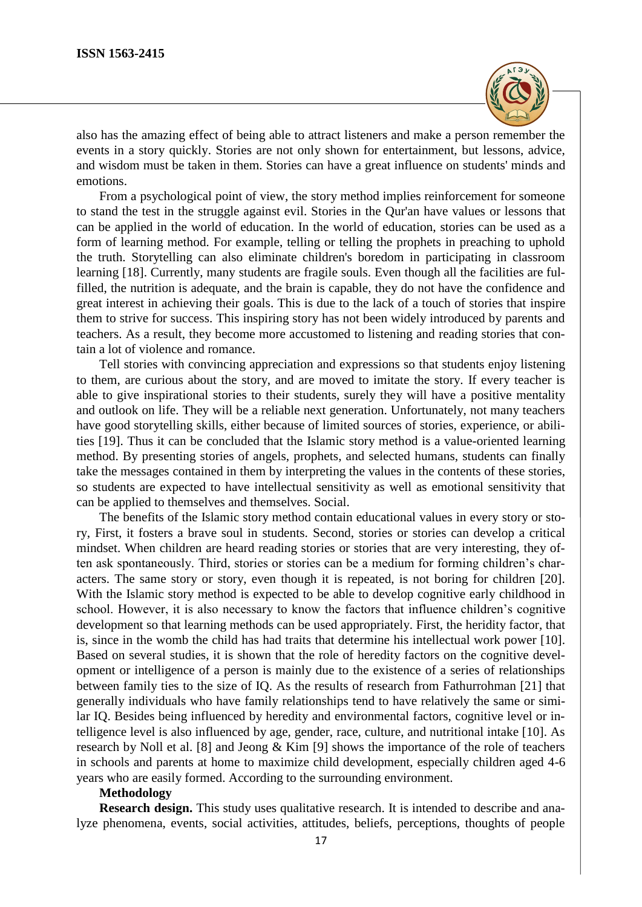

also has the amazing effect of being able to attract listeners and make a person remember the events in a story quickly. Stories are not only shown for entertainment, but lessons, advice, and wisdom must be taken in them. Stories can have a great influence on students' minds and emotions.

From a psychological point of view, the story method implies reinforcement for someone to stand the test in the struggle against evil. Stories in the Qur'an have values or lessons that can be applied in the world of education. In the world of education, stories can be used as a form of learning method. For example, telling or telling the prophets in preaching to uphold the truth. Storytelling can also eliminate children's boredom in participating in classroom learning [18]. Currently, many students are fragile souls. Even though all the facilities are fulfilled, the nutrition is adequate, and the brain is capable, they do not have the confidence and great interest in achieving their goals. This is due to the lack of a touch of stories that inspire them to strive for success. This inspiring story has not been widely introduced by parents and teachers. As a result, they become more accustomed to listening and reading stories that contain a lot of violence and romance.

Tell stories with convincing appreciation and expressions so that students enjoy listening to them, are curious about the story, and are moved to imitate the story. If every teacher is able to give inspirational stories to their students, surely they will have a positive mentality and outlook on life. They will be a reliable next generation. Unfortunately, not many teachers have good storytelling skills, either because of limited sources of stories, experience, or abilities [19]. Thus it can be concluded that the Islamic story method is a value-oriented learning method. By presenting stories of angels, prophets, and selected humans, students can finally take the messages contained in them by interpreting the values in the contents of these stories, so students are expected to have intellectual sensitivity as well as emotional sensitivity that can be applied to themselves and themselves. Social.

The benefits of the Islamic story method contain educational values in every story or story, First, it fosters a brave soul in students. Second, stories or stories can develop a critical mindset. When children are heard reading stories or stories that are very interesting, they often ask spontaneously. Third, stories or stories can be a medium for forming children's characters. The same story or story, even though it is repeated, is not boring for children [20]. With the Islamic story method is expected to be able to develop cognitive early childhood in school. However, it is also necessary to know the factors that influence children's cognitive development so that learning methods can be used appropriately. First, the heridity factor, that is, since in the womb the child has had traits that determine his intellectual work power [10]. Based on several studies, it is shown that the role of heredity factors on the cognitive development or intelligence of a person is mainly due to the existence of a series of relationships between family ties to the size of IQ. As the results of research from Fathurrohman [21] that generally individuals who have family relationships tend to have relatively the same or similar IQ. Besides being influenced by heredity and environmental factors, cognitive level or intelligence level is also influenced by age, gender, race, culture, and nutritional intake [10]. As research by Noll et al. [8] and Jeong & Kim [9] shows the importance of the role of teachers in schools and parents at home to maximize child development, especially children aged 4-6 years who are easily formed. According to the surrounding environment.

## **Methodology**

**Research design.** This study uses qualitative research. It is intended to describe and analyze phenomena, events, social activities, attitudes, beliefs, perceptions, thoughts of people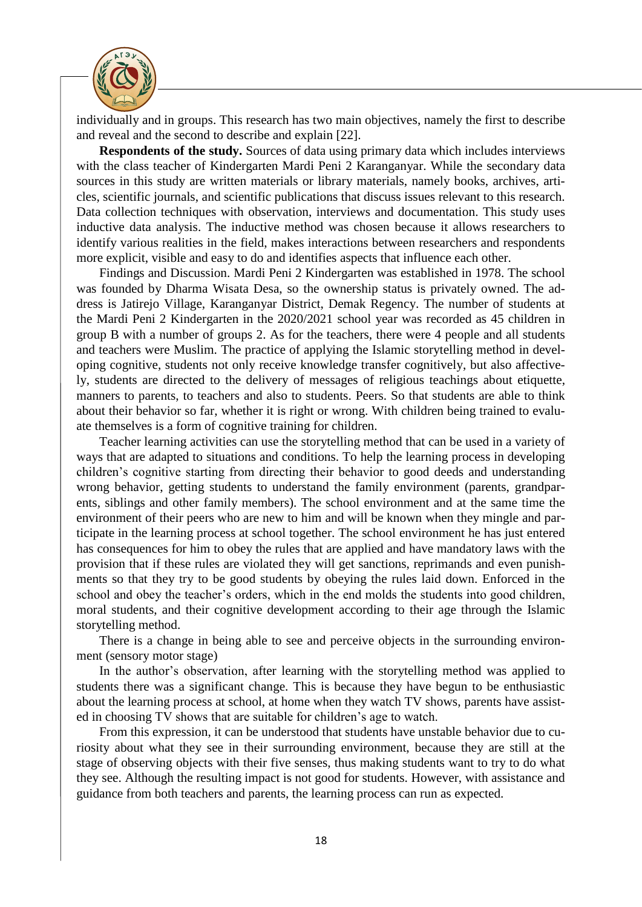

individually and in groups. This research has two main objectives, namely the first to describe and reveal and the second to describe and explain [22].

**Respondents of the study.** Sources of data using primary data which includes interviews with the class teacher of Kindergarten Mardi Peni 2 Karanganyar. While the secondary data sources in this study are written materials or library materials, namely books, archives, articles, scientific journals, and scientific publications that discuss issues relevant to this research. Data collection techniques with observation, interviews and documentation. This study uses inductive data analysis. The inductive method was chosen because it allows researchers to identify various realities in the field, makes interactions between researchers and respondents more explicit, visible and easy to do and identifies aspects that influence each other.

Findings and Discussion. Mardi Peni 2 Kindergarten was established in 1978. The school was founded by Dharma Wisata Desa, so the ownership status is privately owned. The address is Jatirejo Village, Karanganyar District, Demak Regency. The number of students at the Mardi Peni 2 Kindergarten in the 2020/2021 school year was recorded as 45 children in group B with a number of groups 2. As for the teachers, there were 4 people and all students and teachers were Muslim. The practice of applying the Islamic storytelling method in developing cognitive, students not only receive knowledge transfer cognitively, but also affectively, students are directed to the delivery of messages of religious teachings about etiquette, manners to parents, to teachers and also to students. Peers. So that students are able to think about their behavior so far, whether it is right or wrong. With children being trained to evaluate themselves is a form of cognitive training for children.

Teacher learning activities can use the storytelling method that can be used in a variety of ways that are adapted to situations and conditions. To help the learning process in developing children's cognitive starting from directing their behavior to good deeds and understanding wrong behavior, getting students to understand the family environment (parents, grandparents, siblings and other family members). The school environment and at the same time the environment of their peers who are new to him and will be known when they mingle and participate in the learning process at school together. The school environment he has just entered has consequences for him to obey the rules that are applied and have mandatory laws with the provision that if these rules are violated they will get sanctions, reprimands and even punishments so that they try to be good students by obeying the rules laid down. Enforced in the school and obey the teacher's orders, which in the end molds the students into good children, moral students, and their cognitive development according to their age through the Islamic storytelling method.

There is a change in being able to see and perceive objects in the surrounding environment (sensory motor stage)

In the author's observation, after learning with the storytelling method was applied to students there was a significant change. This is because they have begun to be enthusiastic about the learning process at school, at home when they watch TV shows, parents have assisted in choosing TV shows that are suitable for children's age to watch.

From this expression, it can be understood that students have unstable behavior due to curiosity about what they see in their surrounding environment, because they are still at the stage of observing objects with their five senses, thus making students want to try to do what they see. Although the resulting impact is not good for students. However, with assistance and guidance from both teachers and parents, the learning process can run as expected.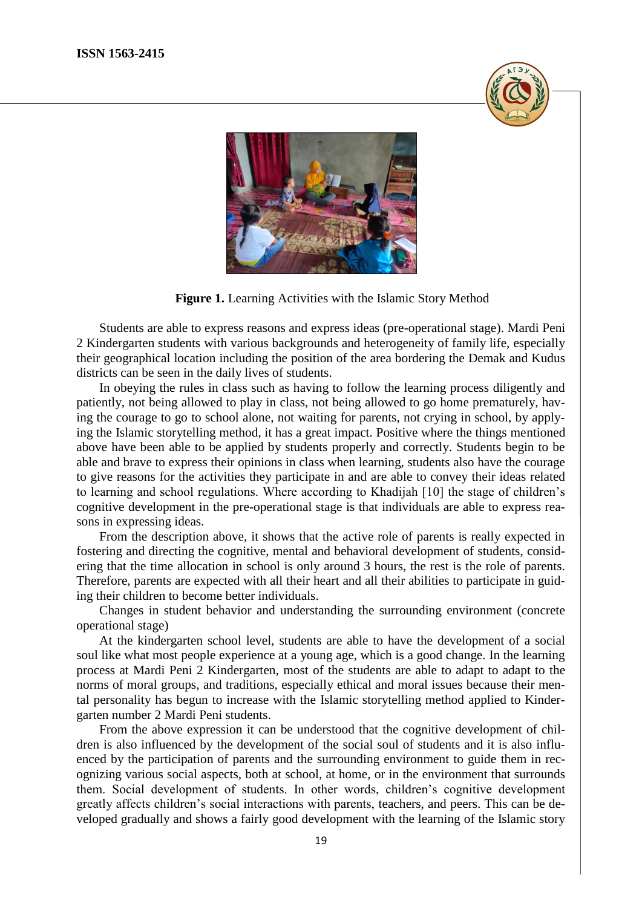



**Figure 1.** Learning Activities with the Islamic Story Method

Students are able to express reasons and express ideas (pre-operational stage). Mardi Peni 2 Kindergarten students with various backgrounds and heterogeneity of family life, especially their geographical location including the position of the area bordering the Demak and Kudus districts can be seen in the daily lives of students.

In obeying the rules in class such as having to follow the learning process diligently and patiently, not being allowed to play in class, not being allowed to go home prematurely, having the courage to go to school alone, not waiting for parents, not crying in school, by applying the Islamic storytelling method, it has a great impact. Positive where the things mentioned above have been able to be applied by students properly and correctly. Students begin to be able and brave to express their opinions in class when learning, students also have the courage to give reasons for the activities they participate in and are able to convey their ideas related to learning and school regulations. Where according to Khadijah [10] the stage of children's cognitive development in the pre-operational stage is that individuals are able to express reasons in expressing ideas.

From the description above, it shows that the active role of parents is really expected in fostering and directing the cognitive, mental and behavioral development of students, considering that the time allocation in school is only around 3 hours, the rest is the role of parents. Therefore, parents are expected with all their heart and all their abilities to participate in guiding their children to become better individuals.

Changes in student behavior and understanding the surrounding environment (concrete operational stage)

At the kindergarten school level, students are able to have the development of a social soul like what most people experience at a young age, which is a good change. In the learning process at Mardi Peni 2 Kindergarten, most of the students are able to adapt to adapt to the norms of moral groups, and traditions, especially ethical and moral issues because their mental personality has begun to increase with the Islamic storytelling method applied to Kindergarten number 2 Mardi Peni students.

From the above expression it can be understood that the cognitive development of children is also influenced by the development of the social soul of students and it is also influenced by the participation of parents and the surrounding environment to guide them in recognizing various social aspects, both at school, at home, or in the environment that surrounds them. Social development of students. In other words, children's cognitive development greatly affects children's social interactions with parents, teachers, and peers. This can be developed gradually and shows a fairly good development with the learning of the Islamic story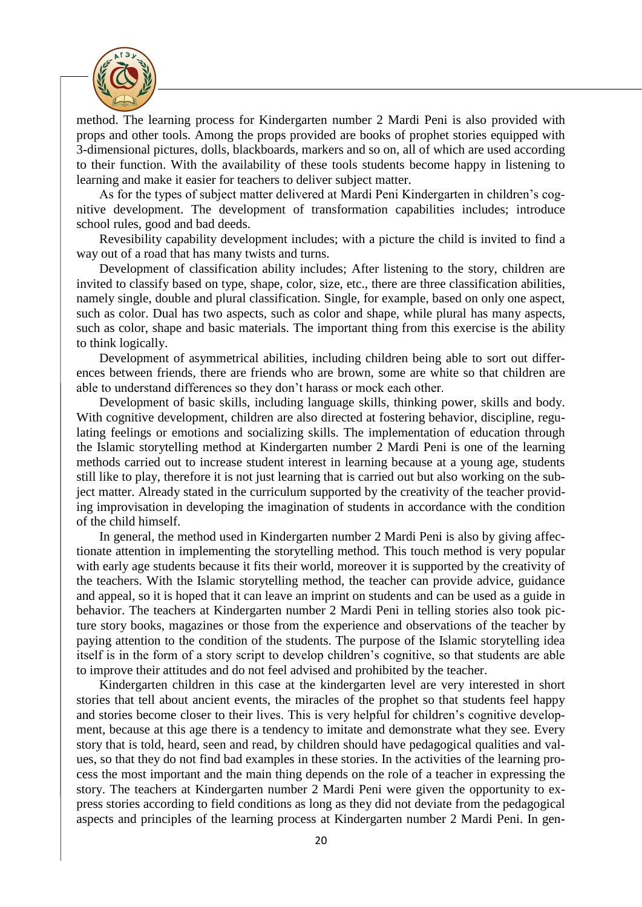

method. The learning process for Kindergarten number 2 Mardi Peni is also provided with props and other tools. Among the props provided are books of prophet stories equipped with 3-dimensional pictures, dolls, blackboards, markers and so on, all of which are used according to their function. With the availability of these tools students become happy in listening to learning and make it easier for teachers to deliver subject matter.

As for the types of subject matter delivered at Mardi Peni Kindergarten in children's cognitive development. The development of transformation capabilities includes; introduce school rules, good and bad deeds.

Revesibility capability development includes; with a picture the child is invited to find a way out of a road that has many twists and turns.

Development of classification ability includes; After listening to the story, children are invited to classify based on type, shape, color, size, etc., there are three classification abilities, namely single, double and plural classification. Single, for example, based on only one aspect, such as color. Dual has two aspects, such as color and shape, while plural has many aspects, such as color, shape and basic materials. The important thing from this exercise is the ability to think logically.

Development of asymmetrical abilities, including children being able to sort out differences between friends, there are friends who are brown, some are white so that children are able to understand differences so they don't harass or mock each other.

Development of basic skills, including language skills, thinking power, skills and body. With cognitive development, children are also directed at fostering behavior, discipline, regulating feelings or emotions and socializing skills. The implementation of education through the Islamic storytelling method at Kindergarten number 2 Mardi Peni is one of the learning methods carried out to increase student interest in learning because at a young age, students still like to play, therefore it is not just learning that is carried out but also working on the subject matter. Already stated in the curriculum supported by the creativity of the teacher providing improvisation in developing the imagination of students in accordance with the condition of the child himself.

In general, the method used in Kindergarten number 2 Mardi Peni is also by giving affectionate attention in implementing the storytelling method. This touch method is very popular with early age students because it fits their world, moreover it is supported by the creativity of the teachers. With the Islamic storytelling method, the teacher can provide advice, guidance and appeal, so it is hoped that it can leave an imprint on students and can be used as a guide in behavior. The teachers at Kindergarten number 2 Mardi Peni in telling stories also took picture story books, magazines or those from the experience and observations of the teacher by paying attention to the condition of the students. The purpose of the Islamic storytelling idea itself is in the form of a story script to develop children's cognitive, so that students are able to improve their attitudes and do not feel advised and prohibited by the teacher.

Kindergarten children in this case at the kindergarten level are very interested in short stories that tell about ancient events, the miracles of the prophet so that students feel happy and stories become closer to their lives. This is very helpful for children's cognitive development, because at this age there is a tendency to imitate and demonstrate what they see. Every story that is told, heard, seen and read, by children should have pedagogical qualities and values, so that they do not find bad examples in these stories. In the activities of the learning process the most important and the main thing depends on the role of a teacher in expressing the story. The teachers at Kindergarten number 2 Mardi Peni were given the opportunity to express stories according to field conditions as long as they did not deviate from the pedagogical aspects and principles of the learning process at Kindergarten number 2 Mardi Peni. In gen-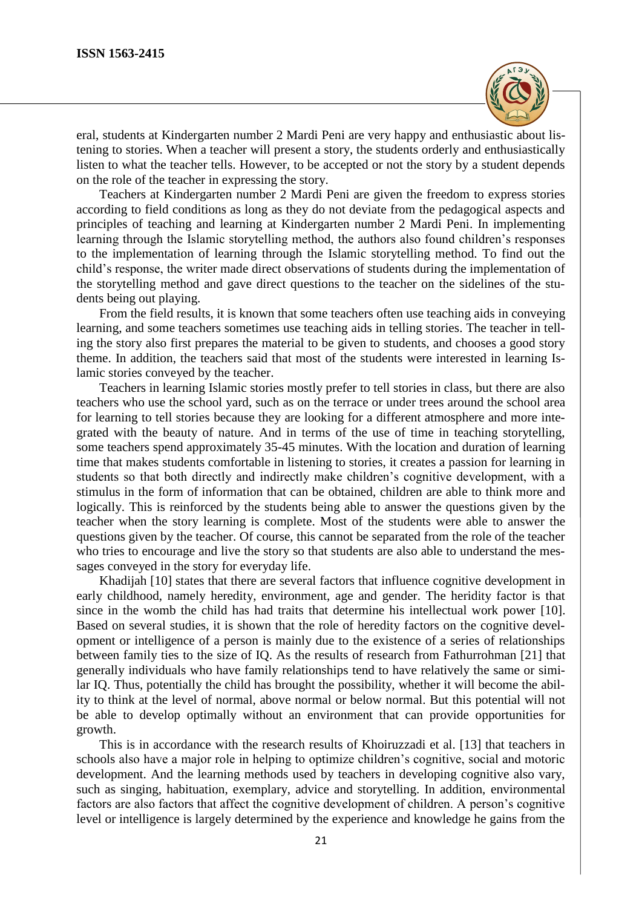

eral, students at Kindergarten number 2 Mardi Peni are very happy and enthusiastic about listening to stories. When a teacher will present a story, the students orderly and enthusiastically listen to what the teacher tells. However, to be accepted or not the story by a student depends on the role of the teacher in expressing the story.

Teachers at Kindergarten number 2 Mardi Peni are given the freedom to express stories according to field conditions as long as they do not deviate from the pedagogical aspects and principles of teaching and learning at Kindergarten number 2 Mardi Peni. In implementing learning through the Islamic storytelling method, the authors also found children's responses to the implementation of learning through the Islamic storytelling method. To find out the child's response, the writer made direct observations of students during the implementation of the storytelling method and gave direct questions to the teacher on the sidelines of the students being out playing.

From the field results, it is known that some teachers often use teaching aids in conveying learning, and some teachers sometimes use teaching aids in telling stories. The teacher in telling the story also first prepares the material to be given to students, and chooses a good story theme. In addition, the teachers said that most of the students were interested in learning Islamic stories conveyed by the teacher.

Teachers in learning Islamic stories mostly prefer to tell stories in class, but there are also teachers who use the school yard, such as on the terrace or under trees around the school area for learning to tell stories because they are looking for a different atmosphere and more integrated with the beauty of nature. And in terms of the use of time in teaching storytelling, some teachers spend approximately 35-45 minutes. With the location and duration of learning time that makes students comfortable in listening to stories, it creates a passion for learning in students so that both directly and indirectly make children's cognitive development, with a stimulus in the form of information that can be obtained, children are able to think more and logically. This is reinforced by the students being able to answer the questions given by the teacher when the story learning is complete. Most of the students were able to answer the questions given by the teacher. Of course, this cannot be separated from the role of the teacher who tries to encourage and live the story so that students are also able to understand the messages conveyed in the story for everyday life.

Khadijah [10] states that there are several factors that influence cognitive development in early childhood, namely heredity, environment, age and gender. The heridity factor is that since in the womb the child has had traits that determine his intellectual work power [10]. Based on several studies, it is shown that the role of heredity factors on the cognitive development or intelligence of a person is mainly due to the existence of a series of relationships between family ties to the size of IQ. As the results of research from Fathurrohman [21] that generally individuals who have family relationships tend to have relatively the same or similar IQ. Thus, potentially the child has brought the possibility, whether it will become the ability to think at the level of normal, above normal or below normal. But this potential will not be able to develop optimally without an environment that can provide opportunities for growth.

This is in accordance with the research results of Khoiruzzadi et al. [13] that teachers in schools also have a major role in helping to optimize children's cognitive, social and motoric development. And the learning methods used by teachers in developing cognitive also vary, such as singing, habituation, exemplary, advice and storytelling. In addition, environmental factors are also factors that affect the cognitive development of children. A person's cognitive level or intelligence is largely determined by the experience and knowledge he gains from the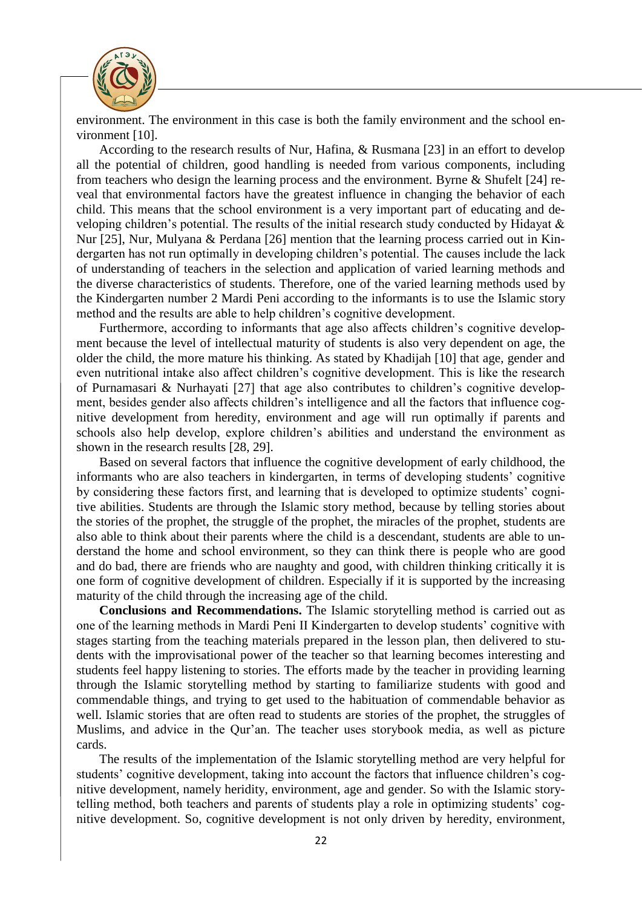

environment. The environment in this case is both the family environment and the school environment [10].

According to the research results of Nur, Hafina, & Rusmana [23] in an effort to develop all the potential of children, good handling is needed from various components, including from teachers who design the learning process and the environment. Byrne & Shufelt [24] reveal that environmental factors have the greatest influence in changing the behavior of each child. This means that the school environment is a very important part of educating and developing children's potential. The results of the initial research study conducted by Hidayat & Nur [25], Nur, Mulyana & Perdana [26] mention that the learning process carried out in Kindergarten has not run optimally in developing children's potential. The causes include the lack of understanding of teachers in the selection and application of varied learning methods and the diverse characteristics of students. Therefore, one of the varied learning methods used by the Kindergarten number 2 Mardi Peni according to the informants is to use the Islamic story method and the results are able to help children's cognitive development.

Furthermore, according to informants that age also affects children's cognitive development because the level of intellectual maturity of students is also very dependent on age, the older the child, the more mature his thinking. As stated by Khadijah [10] that age, gender and even nutritional intake also affect children's cognitive development. This is like the research of Purnamasari & Nurhayati [27] that age also contributes to children's cognitive development, besides gender also affects children's intelligence and all the factors that influence cognitive development from heredity, environment and age will run optimally if parents and schools also help develop, explore children's abilities and understand the environment as shown in the research results [28, 29].

Based on several factors that influence the cognitive development of early childhood, the informants who are also teachers in kindergarten, in terms of developing students' cognitive by considering these factors first, and learning that is developed to optimize students' cognitive abilities. Students are through the Islamic story method, because by telling stories about the stories of the prophet, the struggle of the prophet, the miracles of the prophet, students are also able to think about their parents where the child is a descendant, students are able to understand the home and school environment, so they can think there is people who are good and do bad, there are friends who are naughty and good, with children thinking critically it is one form of cognitive development of children. Especially if it is supported by the increasing maturity of the child through the increasing age of the child.

**Conclusions and Recommendations.** The Islamic storytelling method is carried out as one of the learning methods in Mardi Peni II Kindergarten to develop students' cognitive with stages starting from the teaching materials prepared in the lesson plan, then delivered to students with the improvisational power of the teacher so that learning becomes interesting and students feel happy listening to stories. The efforts made by the teacher in providing learning through the Islamic storytelling method by starting to familiarize students with good and commendable things, and trying to get used to the habituation of commendable behavior as well. Islamic stories that are often read to students are stories of the prophet, the struggles of Muslims, and advice in the Qur'an. The teacher uses storybook media, as well as picture cards.

The results of the implementation of the Islamic storytelling method are very helpful for students' cognitive development, taking into account the factors that influence children's cognitive development, namely heridity, environment, age and gender. So with the Islamic storytelling method, both teachers and parents of students play a role in optimizing students' cognitive development. So, cognitive development is not only driven by heredity, environment,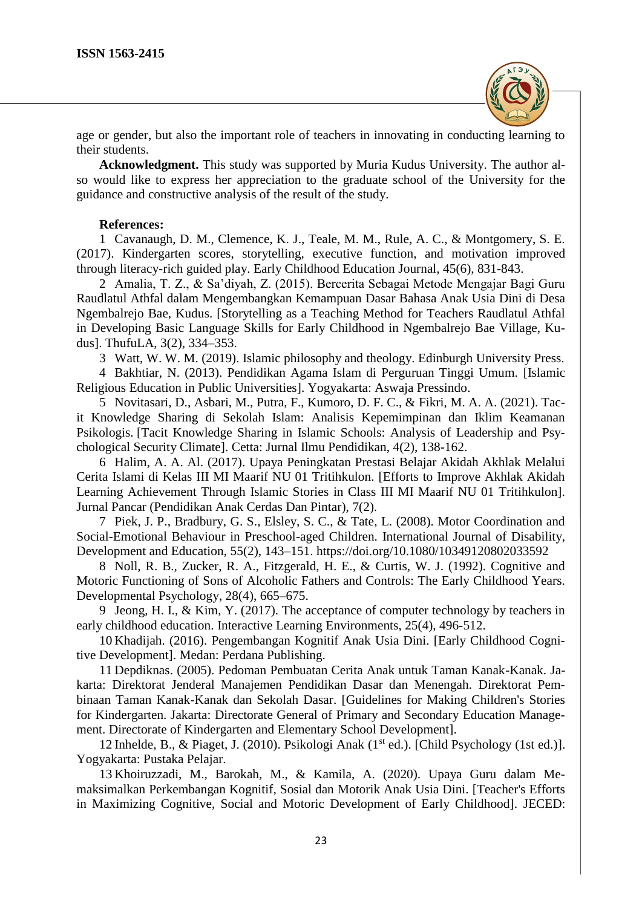

age or gender, but also the important role of teachers in innovating in conducting learning to their students.

**Acknowledgment.** This study was supported by Muria Kudus University. The author also would like to express her appreciation to the graduate school of the University for the guidance and constructive analysis of the result of the study.

### **References:**

1 Cavanaugh, D. M., Clemence, K. J., Teale, M. M., Rule, A. C., & Montgomery, S. E. (2017). Kindergarten scores, storytelling, executive function, and motivation improved through literacy-rich guided play. Early Childhood Education Journal, 45(6), 831-843.

2 Amalia, T. Z., & Sa'diyah, Z. (2015). Bercerita Sebagai Metode Mengajar Bagi Guru Raudlatul Athfal dalam Mengembangkan Kemampuan Dasar Bahasa Anak Usia Dini di Desa Ngembalrejo Bae, Kudus. [Storytelling as a Teaching Method for Teachers Raudlatul Athfal in Developing Basic Language Skills for Early Childhood in Ngembalrejo Bae Village, Kudus]. ThufuLA, 3(2), 334–353.

3 Watt, W. W. M. (2019). Islamic philosophy and theology. Edinburgh University Press.

4 Bakhtiar, N. (2013). Pendidikan Agama Islam di Perguruan Tinggi Umum. [Islamic Religious Education in Public Universities]. Yogyakarta: Aswaja Pressindo.

5 Novitasari, D., Asbari, M., Putra, F., Kumoro, D. F. C., & Fikri, M. A. A. (2021). Tacit Knowledge Sharing di Sekolah Islam: Analisis Kepemimpinan dan Iklim Keamanan Psikologis. [Tacit Knowledge Sharing in Islamic Schools: Analysis of Leadership and Psychological Security Climate]. Cetta: Jurnal Ilmu Pendidikan, 4(2), 138-162.

6 Halim, A. A. Al. (2017). Upaya Peningkatan Prestasi Belajar Akidah Akhlak Melalui Cerita Islami di Kelas III MI Maarif NU 01 Tritihkulon. [Efforts to Improve Akhlak Akidah Learning Achievement Through Islamic Stories in Class III MI Maarif NU 01 Tritihkulon]. Jurnal Pancar (Pendidikan Anak Cerdas Dan Pintar), 7(2).

7 Piek, J. P., Bradbury, G. S., Elsley, S. C., & Tate, L. (2008). Motor Coordination and Social-Emotional Behaviour in Preschool-aged Children. International Journal of Disability, Development and Education, 55(2), 143–151.<https://doi.org/10.1080/10349120802033592>

8 Noll, R. B., Zucker, R. A., Fitzgerald, H. E., & Curtis, W. J. (1992). Cognitive and Motoric Functioning of Sons of Alcoholic Fathers and Controls: The Early Childhood Years. Developmental Psychology, 28(4), 665–675.

9 Jeong, H. I., & Kim, Y. (2017). The acceptance of computer technology by teachers in early childhood education. Interactive Learning Environments, 25(4), 496-512.

10 Khadijah. (2016). Pengembangan Kognitif Anak Usia Dini. [Early Childhood Cognitive Development]. Medan: Perdana Publishing.

11 Depdiknas. (2005). Pedoman Pembuatan Cerita Anak untuk Taman Kanak-Kanak. Jakarta: Direktorat Jenderal Manajemen Pendidikan Dasar dan Menengah. Direktorat Pembinaan Taman Kanak-Kanak dan Sekolah Dasar. [Guidelines for Making Children's Stories for Kindergarten. Jakarta: Directorate General of Primary and Secondary Education Management. Directorate of Kindergarten and Elementary School Development].

12 Inhelde, B., & Piaget, J. (2010). Psikologi Anak (1<sup>st</sup> ed.). [Child Psychology (1st ed.)]. Yogyakarta: Pustaka Pelajar.

13 Khoiruzzadi, M., Barokah, M., & Kamila, A. (2020). Upaya Guru dalam Memaksimalkan Perkembangan Kognitif, Sosial dan Motorik Anak Usia Dini. [Teacher's Efforts in Maximizing Cognitive, Social and Motoric Development of Early Childhood]. JECED: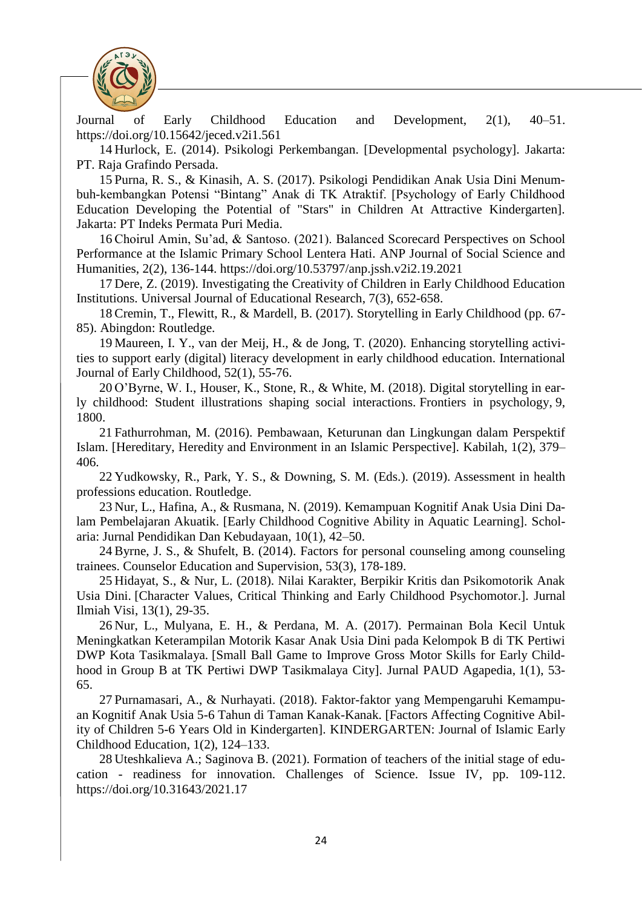

Journal of Early Childhood Education and Development, 2(1), 40–51. <https://doi.org/10.15642/jeced.v2i1.561>

14 Hurlock, E. (2014). Psikologi Perkembangan. [Developmental psychology]. Jakarta: PT. Raja Grafindo Persada.

15 Purna, R. S., & Kinasih, A. S. (2017). Psikologi Pendidikan Anak Usia Dini Menumbuh-kembangkan Potensi "Bintang" Anak di TK Atraktif. [Psychology of Early Childhood Education Developing the Potential of "Stars" in Children At Attractive Kindergarten]. Jakarta: PT Indeks Permata Puri Media.

16 Choirul Amin, Su'ad, & Santoso. (2021). Balanced Scorecard Perspectives on School Performance at the Islamic Primary School Lentera Hati. ANP Journal of Social Science and Humanities, 2(2), 136-144.<https://doi.org/10.53797/anp.jssh.v2i2.19.2021>

17 Dere, Z. (2019). Investigating the Creativity of Children in Early Childhood Education Institutions. Universal Journal of Educational Research, 7(3), 652-658.

18 Cremin, T., Flewitt, R., & Mardell, B. (2017). Storytelling in Early Childhood (pp. 67- 85). Abingdon: Routledge.

19 Maureen, I. Y., van der Meij, H., & de Jong, T. (2020). Enhancing storytelling activities to support early (digital) literacy development in early childhood education. International Journal of Early Childhood, 52(1), 55-76.

20 O'Byrne, W. I., Houser, K., Stone, R., & White, M. (2018). Digital storytelling in early childhood: Student illustrations shaping social interactions. Frontiers in psychology, 9, 1800.

21 Fathurrohman, M. (2016). Pembawaan, Keturunan dan Lingkungan dalam Perspektif Islam. [Hereditary, Heredity and Environment in an Islamic Perspective]. Kabilah, 1(2), 379– 406.

22 Yudkowsky, R., Park, Y. S., & Downing, S. M. (Eds.). (2019). Assessment in health professions education. Routledge.

23 Nur, L., Hafina, A., & Rusmana, N. (2019). Kemampuan Kognitif Anak Usia Dini Dalam Pembelajaran Akuatik. [Early Childhood Cognitive Ability in Aquatic Learning]. Scholaria: Jurnal Pendidikan Dan Kebudayaan, 10(1), 42–50.

24 Byrne, J. S., & Shufelt, B. (2014). Factors for personal counseling among counseling trainees. Counselor Education and Supervision, 53(3), 178-189.

25 Hidayat, S., & Nur, L. (2018). Nilai Karakter, Berpikir Kritis dan Psikomotorik Anak Usia Dini. [Character Values, Critical Thinking and Early Childhood Psychomotor.]. Jurnal Ilmiah Visi, 13(1), 29-35.

26 Nur, L., Mulyana, E. H., & Perdana, M. A. (2017). Permainan Bola Kecil Untuk Meningkatkan Keterampilan Motorik Kasar Anak Usia Dini pada Kelompok B di TK Pertiwi DWP Kota Tasikmalaya. [Small Ball Game to Improve Gross Motor Skills for Early Childhood in Group B at TK Pertiwi DWP Tasikmalaya City]. Jurnal PAUD Agapedia, 1(1), 53- 65.

27 Purnamasari, A., & Nurhayati. (2018). Faktor-faktor yang Mempengaruhi Kemampuan Kognitif Anak Usia 5-6 Tahun di Taman Kanak-Kanak. [Factors Affecting Cognitive Ability of Children 5-6 Years Old in Kindergarten]. KINDERGARTEN: Journal of Islamic Early Childhood Education, 1(2), 124–133.

28 Uteshkalieva A.; Saginova B. (2021). Formation of teachers of the initial stage of education - readiness for innovation. Challenges of Science. Issue IV, pp. 109-112. https://doi.org/10.31643/2021.17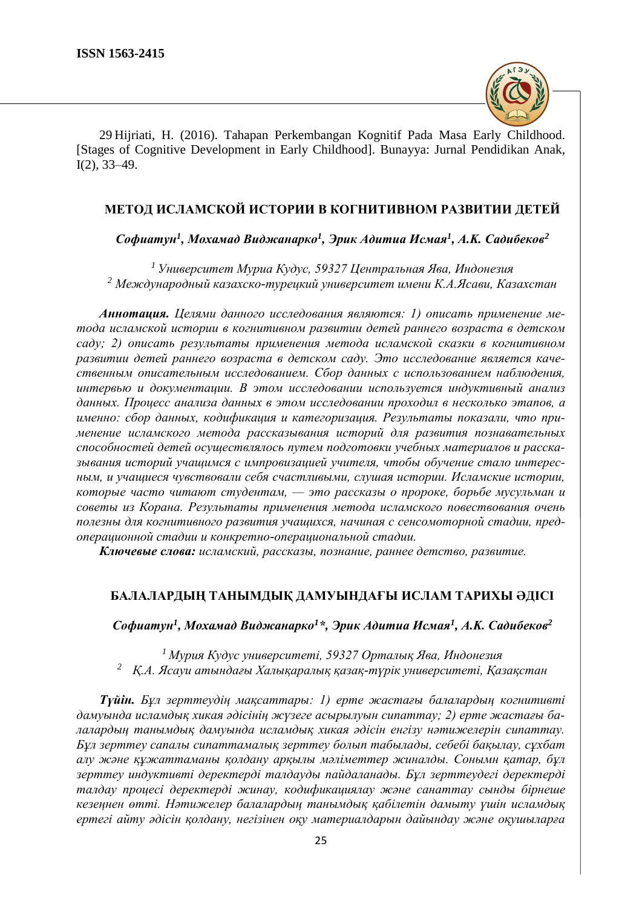

29 Hijriati, H. (2016). Tahapan Perkembangan Kognitif Pada Masa Early Childhood. [Stages of Cognitive Development in Early Childhood]. Bunayya: Jurnal Pendidikan Anak, I(2), 33–49.

# **МЕТОД ИСЛАМСКОЙ ИСТОРИИ В КОГНИТИВНОМ РАЗВИТИИ ДЕТЕЙ**

*Софиатун<sup>1</sup> , Мохамад Виджанарко<sup>1</sup> , Эрик Адитиа Исмая<sup>1</sup> , A.K. Садибеков<sup>2</sup>*

*<sup>1</sup> Университет Муриа Кудус, 59327 Центральная Ява, Индонезия <sup>2</sup> Международный казахско-турецкий университет имени К.А.Ясави, Казахстан*

*Аннотация. Целями данного исследования являются: 1) описать применение метода исламской истории в когнитивном развитии детей раннего возраста в детском саду; 2) описать результаты применения метода исламской сказки в когнитивном развитии детей раннего возраста в детском саду. Это исследование является качественным описательным исследованием. Сбор данных с использованием наблюдения, интервью и документации. В этом исследовании используется индуктивный анализ данных. Процесс анализа данных в этом исследовании проходил в несколько этапов, а именно: сбор данных, кодификация и категоризация. Результаты показали, что применение исламского метода рассказывания историй для развития познавательных способностей детей осуществлялось путем подготовки учебных материалов и рассказывания историй учащимся с импровизацией учителя, чтобы обучение стало интересным, и учащиеся чувствовали себя счастливыми, слушая истории. Исламские истории, которые часто читают студентам, — это рассказы о пророке, борьбе мусульман и советы из Корана. Результаты применения метода исламского повествования очень полезны для когнитивного развития учащихся, начиная с сенсомоторной стадии, предоперационной стадии и конкретно-операциональной стадии.*

*Ключевые слова: исламский, рассказы, познание, раннее детство, развитие.*

# **БАЛАЛАРДЫҢ ТАНЫМДЫҚ ДАМУЫНДАҒЫ ИСЛАМ ТАРИХЫ ӘДІСІ**

*Софиатун<sup>1</sup> , Мохамад Виджанарко<sup>1</sup>\*, Эрик Адитиа Исмая<sup>1</sup> , A.K. Садибеков<sup>2</sup>*

*<sup>1</sup>Мурия Кудус университеті, 59327 Орталық Ява, Индонезия <sup>2</sup> Қ.А. Ясауи атындағы Халықаралық қазақ-түрік университеті, Қазақстан*

*Түйін. Бұл зерттеудің мақсаттары: 1) ерте жастағы балалардың когнитивті дамуында исламдық хикая әдісінің жүзеге асырылуын сипаттау; 2) ерте жастағы балалардың танымдық дамуында исламдық хикая әдісін енгізу нәтижелерін сипаттау. Бұл зерттеу сапалы сипаттамалық зерттеу болып табылады, себебі бақылау, сұхбат алу және құжаттаманы қолдану арқылы мәліметтер жиналды. Сонымн қатар, бұл зерттеу индуктивті деректерді талдауды пайдаланады. Бұл зерттеудегі деректерді талдау процесі деректерді жинау, кодификациялау және санаттау сынды бірнеше кезеңнен өтті. Нәтижелер балалардың танымдық қабілетін дамыту үшін исламдық ертегі айту әдісін қолдану, негізінен оқу материалдарын дайындау және оқушыларға*